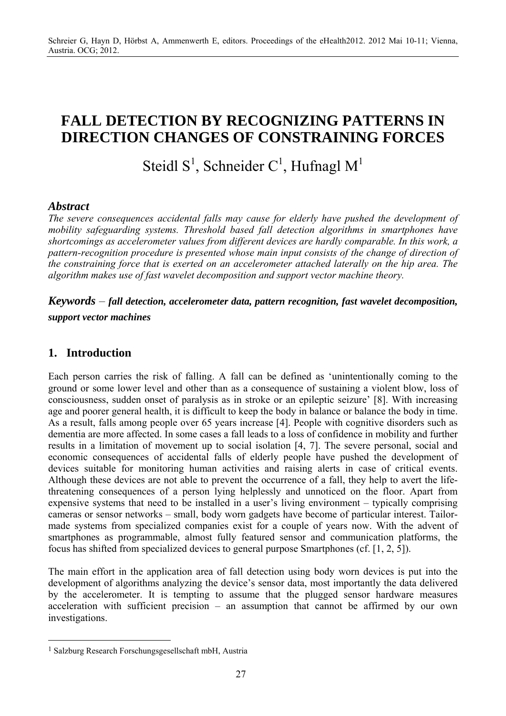# **FALL DETECTION BY RECOGNIZING PATTERNS IN DIRECTION CHANGES OF CONSTRAINING FORCES**

Steidl  $S^1$ , Schneider C<sup>1</sup>, Hufnagl M<sup>1</sup>

### *Abstract*

*The severe consequences accidental falls may cause for elderly have pushed the development of mobility safeguarding systems. Threshold based fall detection algorithms in smartphones have shortcomings as accelerometer values from different devices are hardly comparable. In this work, a pattern-recognition procedure is presented whose main input consists of the change of direction of the constraining force that is exerted on an accelerometer attached laterally on the hip area. The algorithm makes use of fast wavelet decomposition and support vector machine theory.* 

## *Keywords* – *fall detection, accelerometer data, pattern recognition, fast wavelet decomposition, support vector machines*

### **1. Introduction**

 $\overline{a}$ 

Each person carries the risk of falling. A fall can be defined as 'unintentionally coming to the ground or some lower level and other than as a consequence of sustaining a violent blow, loss of consciousness, sudden onset of paralysis as in stroke or an epileptic seizure' [8]. With increasing age and poorer general health, it is difficult to keep the body in balance or balance the body in time. As a result, falls among people over 65 years increase [4]. People with cognitive disorders such as dementia are more affected. In some cases a fall leads to a loss of confidence in mobility and further results in a limitation of movement up to social isolation [4, 7]. The severe personal, social and economic consequences of accidental falls of elderly people have pushed the development of devices suitable for monitoring human activities and raising alerts in case of critical events. Although these devices are not able to prevent the occurrence of a fall, they help to avert the lifethreatening consequences of a person lying helplessly and unnoticed on the floor. Apart from expensive systems that need to be installed in a user's living environment – typically comprising cameras or sensor networks – small, body worn gadgets have become of particular interest. Tailormade systems from specialized companies exist for a couple of years now. With the advent of smartphones as programmable, almost fully featured sensor and communication platforms, the focus has shifted from specialized devices to general purpose Smartphones (cf. [1, 2, 5]).

The main effort in the application area of fall detection using body worn devices is put into the development of algorithms analyzing the device's sensor data, most importantly the data delivered by the accelerometer. It is tempting to assume that the plugged sensor hardware measures acceleration with sufficient precision – an assumption that cannot be affirmed by our own investigations.

<sup>1</sup> Salzburg Research Forschungsgesellschaft mbH, Austria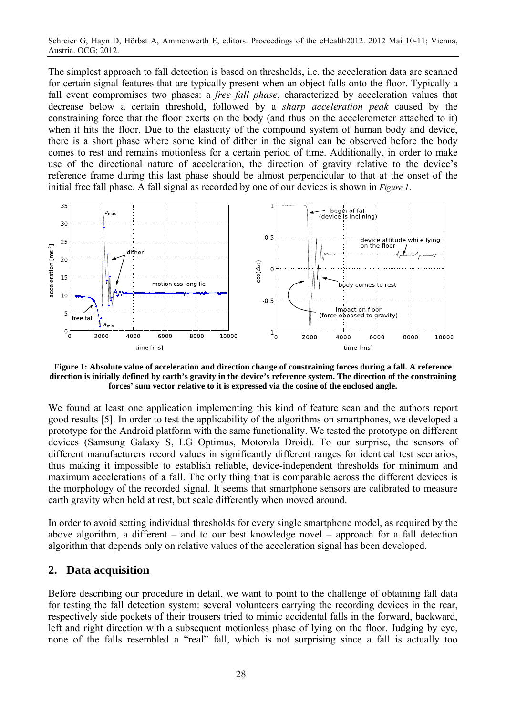Schreier G, Hayn D, Hörbst A, Ammenwerth E, editors. Proceedings of the eHealth2012. 2012 Mai 10-11; Vienna, Austria. OCG; 2012.

The simplest approach to fall detection is based on thresholds, i.e. the acceleration data are scanned for certain signal features that are typically present when an object falls onto the floor. Typically a fall event compromises two phases: a *free fall phase*, characterized by acceleration values that decrease below a certain threshold, followed by a *sharp acceleration peak* caused by the constraining force that the floor exerts on the body (and thus on the accelerometer attached to it) when it hits the floor. Due to the elasticity of the compound system of human body and device, there is a short phase where some kind of dither in the signal can be observed before the body comes to rest and remains motionless for a certain period of time. Additionally, in order to make use of the directional nature of acceleration, the direction of gravity relative to the device's reference frame during this last phase should be almost perpendicular to that at the onset of the initial free fall phase. A fall signal as recorded by one of our devices is shown in *Figure 1*.



**Figure 1: Absolute value of acceleration and direction change of constraining forces during a fall. A reference direction is initially defined by earth's gravity in the device's reference system. The direction of the constraining forces' sum vector relative to it is expressed via the cosine of the enclosed angle.** 

We found at least one application implementing this kind of feature scan and the authors report good results [5]. In order to test the applicability of the algorithms on smartphones, we developed a prototype for the Android platform with the same functionality. We tested the prototype on different devices (Samsung Galaxy S, LG Optimus, Motorola Droid). To our surprise, the sensors of different manufacturers record values in significantly different ranges for identical test scenarios, thus making it impossible to establish reliable, device-independent thresholds for minimum and maximum accelerations of a fall. The only thing that is comparable across the different devices is the morphology of the recorded signal. It seems that smartphone sensors are calibrated to measure earth gravity when held at rest, but scale differently when moved around.

In order to avoid setting individual thresholds for every single smartphone model, as required by the above algorithm, a different – and to our best knowledge novel – approach for a fall detection algorithm that depends only on relative values of the acceleration signal has been developed.

### **2. Data acquisition**

Before describing our procedure in detail, we want to point to the challenge of obtaining fall data for testing the fall detection system: several volunteers carrying the recording devices in the rear, respectively side pockets of their trousers tried to mimic accidental falls in the forward, backward, left and right direction with a subsequent motionless phase of lying on the floor. Judging by eye, none of the falls resembled a "real" fall, which is not surprising since a fall is actually too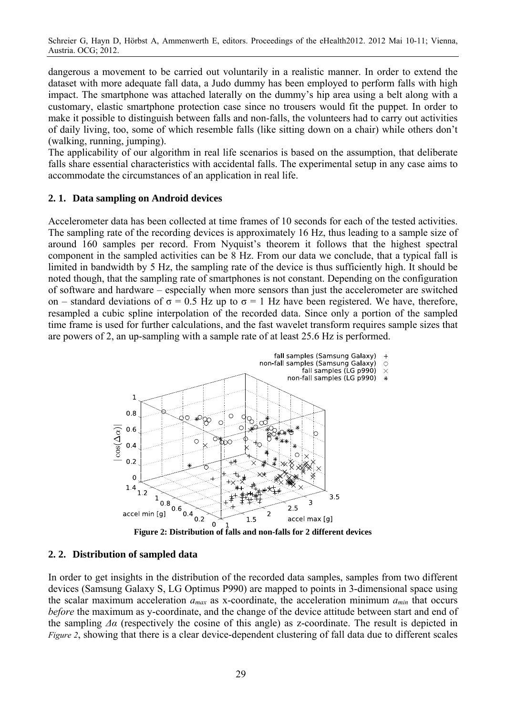Schreier G, Hayn D, Hörbst A, Ammenwerth E, editors. Proceedings of the eHealth2012. 2012 Mai 10-11; Vienna, Austria. OCG; 2012.

dangerous a movement to be carried out voluntarily in a realistic manner. In order to extend the dataset with more adequate fall data, a Judo dummy has been employed to perform falls with high impact. The smartphone was attached laterally on the dummy's hip area using a belt along with a customary, elastic smartphone protection case since no trousers would fit the puppet. In order to make it possible to distinguish between falls and non-falls, the volunteers had to carry out activities of daily living, too, some of which resemble falls (like sitting down on a chair) while others don't (walking, running, jumping).

The applicability of our algorithm in real life scenarios is based on the assumption, that deliberate falls share essential characteristics with accidental falls. The experimental setup in any case aims to accommodate the circumstances of an application in real life.

#### **2. 1. Data sampling on Android devices**

Accelerometer data has been collected at time frames of 10 seconds for each of the tested activities. The sampling rate of the recording devices is approximately 16 Hz, thus leading to a sample size of around 160 samples per record. From Nyquist's theorem it follows that the highest spectral component in the sampled activities can be 8 Hz. From our data we conclude, that a typical fall is limited in bandwidth by 5 Hz, the sampling rate of the device is thus sufficiently high. It should be noted though, that the sampling rate of smartphones is not constant. Depending on the configuration of software and hardware – especially when more sensors than just the accelerometer are switched on – standard deviations of  $\sigma = 0.5$  Hz up to  $\sigma = 1$  Hz have been registered. We have, therefore, resampled a cubic spline interpolation of the recorded data. Since only a portion of the sampled time frame is used for further calculations, and the fast wavelet transform requires sample sizes that are powers of 2, an up-sampling with a sample rate of at least 25.6 Hz is performed.



**Figure 2: Distribution of falls and non-falls for 2 different devices** 

#### **2. 2. Distribution of sampled data**

In order to get insights in the distribution of the recorded data samples, samples from two different devices (Samsung Galaxy S, LG Optimus P990) are mapped to points in 3-dimensional space using the scalar maximum acceleration *amax* as x-coordinate, the acceleration minimum *amin* that occurs *before* the maximum as y-coordinate, and the change of the device attitude between start and end of the sampling *Δα* (respectively the cosine of this angle) as z-coordinate. The result is depicted in *Figure 2*, showing that there is a clear device-dependent clustering of fall data due to different scales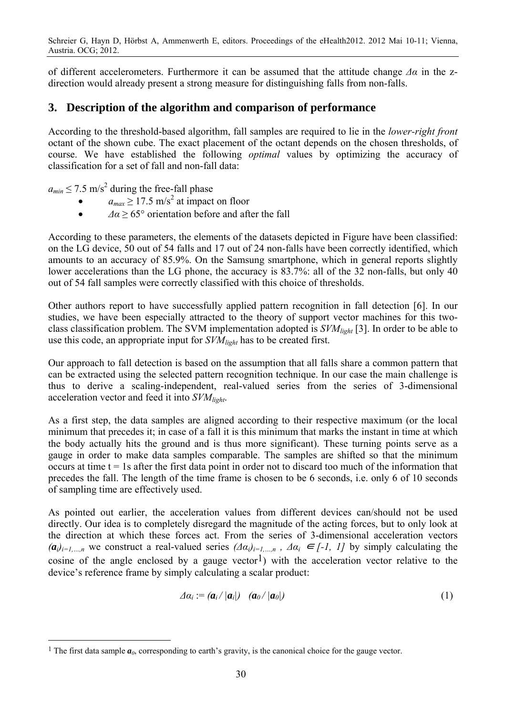of different accelerometers. Furthermore it can be assumed that the attitude change *Δα* in the zdirection would already present a strong measure for distinguishing falls from non-falls.

### **3. Description of the algorithm and comparison of performance**

According to the threshold-based algorithm, fall samples are required to lie in the *lower-right front* octant of the shown cube. The exact placement of the octant depends on the chosen thresholds, of course. We have established the following *optimal* values by optimizing the accuracy of classification for a set of fall and non-fall data:

 $a_{min} \le 7.5$  m/s<sup>2</sup> during the free-fall phase

 $\overline{a}$ 

- $\bullet$  *a<sub>max</sub>*  $\geq$  17.5 m/s<sup>2</sup> at impact on floor
- $\Delta a \ge 65^\circ$  orientation before and after the fall

According to these parameters, the elements of the datasets depicted in Figure have been classified: on the LG device, 50 out of 54 falls and 17 out of 24 non-falls have been correctly identified, which amounts to an accuracy of 85.9%. On the Samsung smartphone, which in general reports slightly lower accelerations than the LG phone, the accuracy is 83.7%: all of the 32 non-falls, but only 40 out of 54 fall samples were correctly classified with this choice of thresholds.

Other authors report to have successfully applied pattern recognition in fall detection [6]. In our studies, we have been especially attracted to the theory of support vector machines for this twoclass classification problem. The SVM implementation adopted is *SVMlight* [3]. In order to be able to use this code, an appropriate input for *SVMlight* has to be created first.

Our approach to fall detection is based on the assumption that all falls share a common pattern that can be extracted using the selected pattern recognition technique. In our case the main challenge is thus to derive a scaling-independent, real-valued series from the series of 3-dimensional acceleration vector and feed it into *SVMlight*.

As a first step, the data samples are aligned according to their respective maximum (or the local minimum that precedes it; in case of a fall it is this minimum that marks the instant in time at which the body actually hits the ground and is thus more significant). These turning points serve as a gauge in order to make data samples comparable. The samples are shifted so that the minimum occurs at time  $t = 1s$  after the first data point in order not to discard too much of the information that precedes the fall. The length of the time frame is chosen to be 6 seconds, i.e. only 6 of 10 seconds of sampling time are effectively used.

As pointed out earlier, the acceleration values from different devices can/should not be used directly. Our idea is to completely disregard the magnitude of the acting forces, but to only look at the direction at which these forces act. From the series of 3-dimensional acceleration vectors  $(a_i)_{i=1,\dots,n}$  we construct a real-valued series  $(Aa_i)_{i=1,\dots,n}$ ,  $Aa_i \in [-1, 1]$  by simply calculating the cosine of the angle enclosed by a gauge vector<sup>1</sup>) with the acceleration vector relative to the device's reference frame by simply calculating a scalar product:

$$
\varDelta a_i := (a_i / |a_i|) \quad (a_0 / |a_0|) \tag{1}
$$

<sup>&</sup>lt;sup>1</sup> The first data sample  $a_0$ , corresponding to earth's gravity, is the canonical choice for the gauge vector.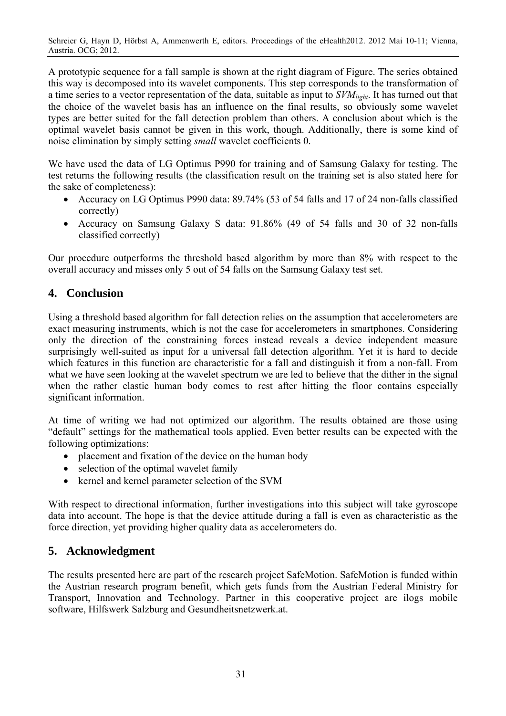A prototypic sequence for a fall sample is shown at the right diagram of Figure. The series obtained this way is decomposed into its wavelet components. This step corresponds to the transformation of a time series to a vector representation of the data, suitable as input to *SVMlight*. It has turned out that the choice of the wavelet basis has an influence on the final results, so obviously some wavelet types are better suited for the fall detection problem than others. A conclusion about which is the optimal wavelet basis cannot be given in this work, though. Additionally, there is some kind of noise elimination by simply setting *small* wavelet coefficients 0.

We have used the data of LG Optimus P990 for training and of Samsung Galaxy for testing. The test returns the following results (the classification result on the training set is also stated here for the sake of completeness):

- Accuracy on LG Optimus P990 data: 89.74% (53 of 54 falls and 17 of 24 non-falls classified correctly)
- Accuracy on Samsung Galaxy S data: 91.86% (49 of 54 falls and 30 of 32 non-falls classified correctly)

Our procedure outperforms the threshold based algorithm by more than 8% with respect to the overall accuracy and misses only 5 out of 54 falls on the Samsung Galaxy test set.

# **4. Conclusion**

Using a threshold based algorithm for fall detection relies on the assumption that accelerometers are exact measuring instruments, which is not the case for accelerometers in smartphones. Considering only the direction of the constraining forces instead reveals a device independent measure surprisingly well-suited as input for a universal fall detection algorithm. Yet it is hard to decide which features in this function are characteristic for a fall and distinguish it from a non-fall. From what we have seen looking at the wavelet spectrum we are led to believe that the dither in the signal when the rather elastic human body comes to rest after hitting the floor contains especially significant information.

At time of writing we had not optimized our algorithm. The results obtained are those using "default" settings for the mathematical tools applied. Even better results can be expected with the following optimizations:

- placement and fixation of the device on the human body
- selection of the optimal wavelet family
- kernel and kernel parameter selection of the SVM

With respect to directional information, further investigations into this subject will take gyroscope data into account. The hope is that the device attitude during a fall is even as characteristic as the force direction, yet providing higher quality data as accelerometers do.

## **5. Acknowledgment**

The results presented here are part of the research project SafeMotion. SafeMotion is funded within the Austrian research program benefit, which gets funds from the Austrian Federal Ministry for Transport, Innovation and Technology. Partner in this cooperative project are ilogs mobile software, Hilfswerk Salzburg and Gesundheitsnetzwerk.at.